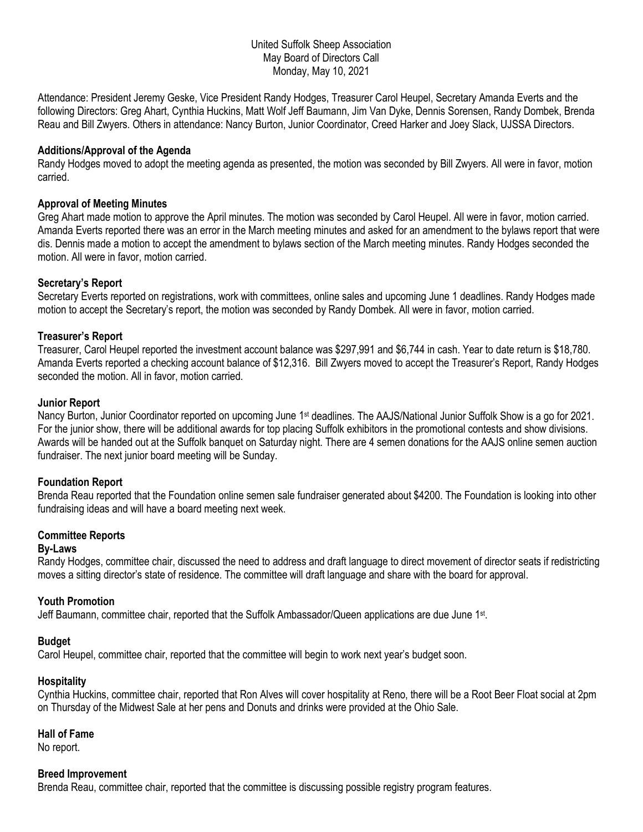### United Suffolk Sheep Association May Board of Directors Call Monday, May 10, 2021

Attendance: President Jeremy Geske, Vice President Randy Hodges, Treasurer Carol Heupel, Secretary Amanda Everts and the following Directors: Greg Ahart, Cynthia Huckins, Matt Wolf Jeff Baumann, Jim Van Dyke, Dennis Sorensen, Randy Dombek, Brenda Reau and Bill Zwyers. Others in attendance: Nancy Burton, Junior Coordinator, Creed Harker and Joey Slack, UJSSA Directors.

### **Additions/Approval of the Agenda**

Randy Hodges moved to adopt the meeting agenda as presented, the motion was seconded by Bill Zwyers. All were in favor, motion carried.

#### **Approval of Meeting Minutes**

Greg Ahart made motion to approve the April minutes. The motion was seconded by Carol Heupel. All were in favor, motion carried. Amanda Everts reported there was an error in the March meeting minutes and asked for an amendment to the bylaws report that were dis. Dennis made a motion to accept the amendment to bylaws section of the March meeting minutes. Randy Hodges seconded the motion. All were in favor, motion carried.

# **Secretary's Report**

Secretary Everts reported on registrations, work with committees, online sales and upcoming June 1 deadlines. Randy Hodges made motion to accept the Secretary's report, the motion was seconded by Randy Dombek. All were in favor, motion carried.

# **Treasurer's Report**

Treasurer, Carol Heupel reported the investment account balance was \$297,991 and \$6,744 in cash. Year to date return is \$18,780. Amanda Everts reported a checking account balance of \$12,316. Bill Zwyers moved to accept the Treasurer's Report, Randy Hodges seconded the motion. All in favor, motion carried.

#### **Junior Report**

Nancy Burton, Junior Coordinator reported on upcoming June 1st deadlines. The AAJS/National Junior Suffolk Show is a go for 2021. For the junior show, there will be additional awards for top placing Suffolk exhibitors in the promotional contests and show divisions. Awards will be handed out at the Suffolk banquet on Saturday night. There are 4 semen donations for the AAJS online semen auction fundraiser. The next junior board meeting will be Sunday.

#### **Foundation Report**

Brenda Reau reported that the Foundation online semen sale fundraiser generated about \$4200. The Foundation is looking into other fundraising ideas and will have a board meeting next week.

# **Committee Reports**

# **By-Laws**

Randy Hodges, committee chair, discussed the need to address and draft language to direct movement of director seats if redistricting moves a sitting director's state of residence. The committee will draft language and share with the board for approval.

#### **Youth Promotion**

Jeff Baumann, committee chair, reported that the Suffolk Ambassador/Queen applications are due June 1st.

# **Budget**

Carol Heupel, committee chair, reported that the committee will begin to work next year's budget soon.

#### **Hospitality**

Cynthia Huckins, committee chair, reported that Ron Alves will cover hospitality at Reno, there will be a Root Beer Float social at 2pm on Thursday of the Midwest Sale at her pens and Donuts and drinks were provided at the Ohio Sale.

### **Hall of Fame**

No report.

#### **Breed Improvement**

Brenda Reau, committee chair, reported that the committee is discussing possible registry program features.